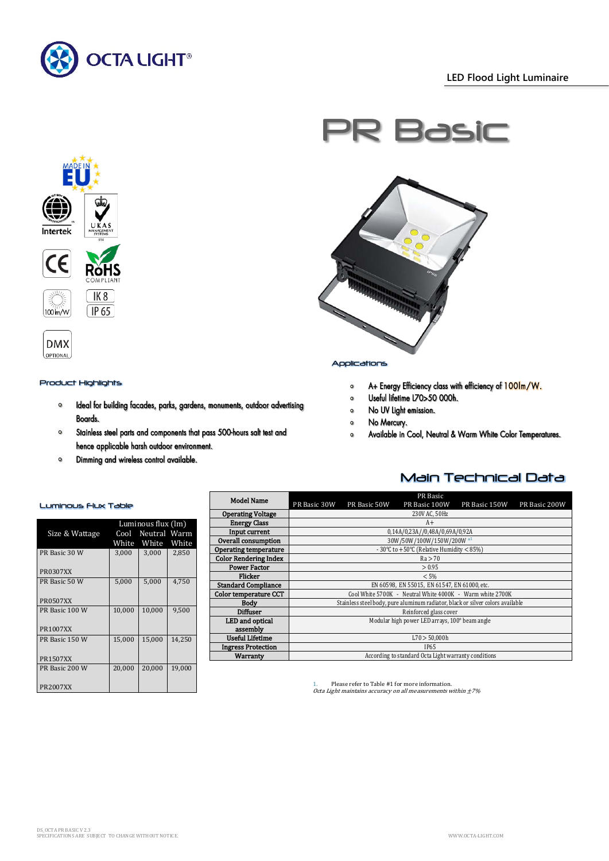

# **LED Flood Light Luminaire**





# Product Highlights

- $\bullet$ Ideal for building facades, parks, gardens, monuments, outdoor advertising Boards.
- Stainless steel parts and components that pass 500-hours salt test and  $\bullet$ hence applicable harsh outdoor environment.
- $\mathbf{o}$ Dimming and wireless control available.





Applications

- A+ Energy Efficiency class with efficiency of 100lm/W.  $\circ$
- Useful lifetime L70>50 000h.  $\circ$
- No UV Light emission.  $\circ$
- No Mercury.  $\bullet$
- Available in Cool, Neutral & Warm White Color Temperatures.  $\circ$

Main Technical Data

## Luminous Flux Table

|                 | Luminous flux (lm) |              |        |  |
|-----------------|--------------------|--------------|--------|--|
| Size & Wattage  | Cool               | Neutral Warm |        |  |
|                 | White              | White        | White  |  |
| PR Basic 30 W   | 3,000              | 3,000        | 2,850  |  |
|                 |                    |              |        |  |
| <b>PR0307XX</b> |                    |              |        |  |
| PR Basic 50 W   | 5,000              | 5,000        | 4.750  |  |
|                 |                    |              |        |  |
| <b>PR0507XX</b> |                    |              |        |  |
| PR Basic 100 W  | 10,000             | 10,000       | 9,500  |  |
|                 |                    |              |        |  |
| <b>PR1007XX</b> |                    |              |        |  |
| PR Basic 150 W  | 15,000             | 15,000       | 14,250 |  |
|                 |                    |              |        |  |
| <b>PR1507XX</b> |                    |              |        |  |
| PR Basic 200 W  | 20.000             | 20.000       | 19.000 |  |
|                 |                    |              |        |  |
| <b>PR2007XX</b> |                    |              |        |  |

|                              | PR Basic                                                                       |              |               |               |               |  |
|------------------------------|--------------------------------------------------------------------------------|--------------|---------------|---------------|---------------|--|
| <b>Model Name</b>            | PR Basic 30W                                                                   | PR Basic 50W | PR Basic 100W | PR Basic 150W | PR Basic 200W |  |
| <b>Operating Voltage</b>     | 230V AC, 50Hz                                                                  |              |               |               |               |  |
| <b>Energy Class</b>          |                                                                                | $A+$         |               |               |               |  |
| Input current                | 0,14A/0,23A//0,48A/0,69A/0,92A                                                 |              |               |               |               |  |
| Overall consumption          | 30W/50W/100W/150W/200W *1                                                      |              |               |               |               |  |
| <b>Operating temperature</b> | - 30°C to +50°C (Relative Humidity < 85%)                                      |              |               |               |               |  |
| <b>Color Rendering Index</b> | Ra > 70                                                                        |              |               |               |               |  |
| <b>Power Factor</b>          | > 0.95                                                                         |              |               |               |               |  |
| Flicker                      | $< 5\%$                                                                        |              |               |               |               |  |
| <b>Standard Compliance</b>   | EN 60598, EN 55015, EN 61547, EN 61000, etc.                                   |              |               |               |               |  |
| Color temperature CCT        | Cool White 5700K - Neutral White 4000K - Warm white 2700K                      |              |               |               |               |  |
| <b>Body</b>                  | Stainless steel body, pure aluminum radiator, black or silver colors available |              |               |               |               |  |
| <b>Diffuser</b>              | Reinforced glass cover                                                         |              |               |               |               |  |
| LED and optical              | Modular high power LED arrays, 100° beam angle                                 |              |               |               |               |  |
| assembly                     |                                                                                |              |               |               |               |  |
| <b>Useful Lifetime</b>       | L70 > 50,000h                                                                  |              |               |               |               |  |
| <b>Ingress Protection</b>    | <b>IP65</b>                                                                    |              |               |               |               |  |
| Warranty                     | According to standard Octa Light warranty conditions                           |              |               |               |               |  |

1. Please refer to Table #1 for more information. Octa Light maintains accuracy on all measurements within ±7%

|       |       |                    | minous Flux Table |  |
|-------|-------|--------------------|-------------------|--|
| рe    |       |                    |                   |  |
| E     |       | Luminous flux (lm) |                   |  |
| Īτ    |       | Cool Neutral Warm  | ize & Wattage     |  |
| Overa | White | White White        |                   |  |